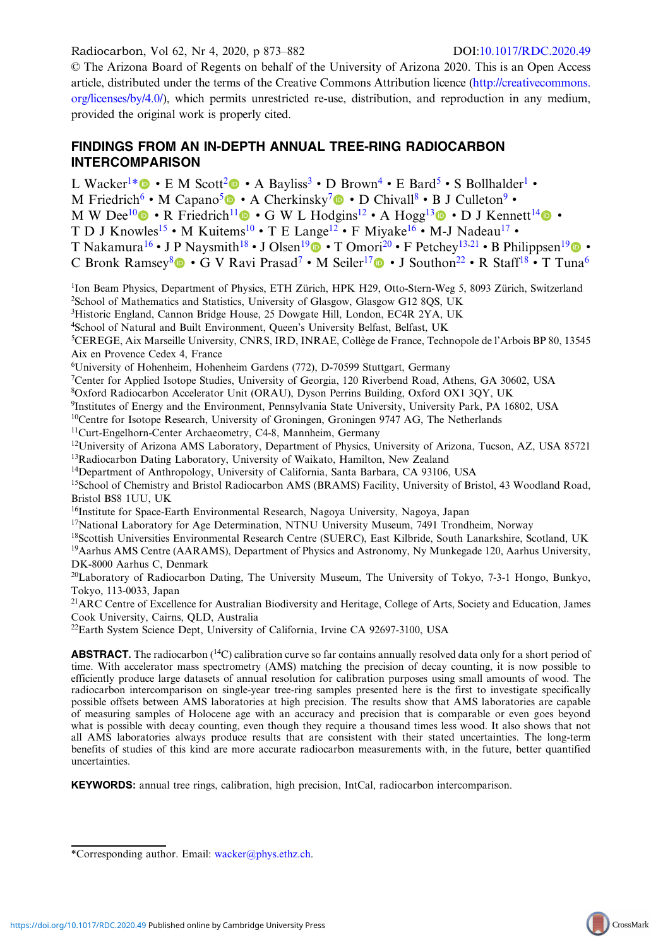Radiocarbon, Vol 62, Nr 4, 2020, p 873–882 DOI:[10.1017/RDC.2020.49](https://doi.org/10.1017/RDC.2020.49)

© The Arizona Board of Regents on behalf of the University of Arizona 2020. This is an Open Access article, distributed under the terms of the Creative Commons Attribution licence [\(http://creativecommons.](http://creativecommons.org/licenses/by/4.0/) [org/licenses/by/4.0/\)](http://creativecommons.org/licenses/by/4.0/), which permits unrestricted re-use, distribution, and reproduction in any medium, provided the original work is properly cited.

# FINDINGS FROM AN IN-DEPTH ANNUAL TREE-RING RADIOCARBON INTERCOMPARISON

L Wacker<sup>1\*</sup> • E M Scott<sup>2</sup> • A Bayliss<sup>3</sup> • D Brown<sup>4</sup> • E Bard<sup>5</sup> • S Bollhalder<sup>1</sup> • M Friedrich<sup>6</sup> • M Capano<sup>5</sup> • A Cherkinsky<sup>7</sup> • D Chivall<sup>8</sup> • B J Culleton<sup>9</sup> • M W Dee<sup>10</sup> • R Friedrich<sup>11</sup> • G W L Hodgins<sup>12</sup> • A Hogg<sup>13</sup> • D J Kennett<sup>14</sup> • T D J Knowles<sup>15</sup> • M Kuitems<sup>10</sup> • T E Lange<sup>12</sup> • F Miyake<sup>16</sup> • M-J Nadeau<sup>17</sup> • T Nakamura<sup>16</sup> • J P Naysmith<sup>18</sup> • J Olsen<sup>19</sup> • T Omori<sup>20</sup> • F Petchey<sup>13,21</sup> • B Philippsen<sup>19</sup> • C Bronk Ramsey<sup>8</sup> • G V Ravi Prasad<sup>7</sup> • M Seiler<sup>17</sup> • J Southon<sup>22</sup> • R Staff<sup>18</sup> • T Tuna<sup>6</sup>

<sup>1</sup>Ion Beam Physics, Department of Physics, ETH Zürich, HPK H29, Otto-Stern-Weg 5, 8093 Zürich, Switzerland <sup>2</sup>School of Mathematics and Statistics, University of Glasgow, Glasgow G12 8QS, UK

<sup>3</sup>Historic England, Cannon Bridge House, 25 Dowgate Hill, London, EC4R 2YA, UK

4 School of Natural and Built Environment, Queen's University Belfast, Belfast, UK

5 CEREGE, Aix Marseille University, CNRS, IRD, INRAE, Collège de France, Technopole de l'Arbois BP 80, 13545 Aix en Provence Cedex 4, France

6 University of Hohenheim, Hohenheim Gardens (772), D-70599 Stuttgart, Germany

7 Center for Applied Isotope Studies, University of Georgia, 120 Riverbend Road, Athens, GA 30602, USA

8 Oxford Radiocarbon Accelerator Unit (ORAU), Dyson Perrins Building, Oxford OX1 3QY, UK

9 Institutes of Energy and the Environment, Pennsylvania State University, University Park, PA 16802, USA

<sup>10</sup>Centre for Isotope Research, University of Groningen, Groningen 9747 AG, The Netherlands

<sup>11</sup>Curt-Engelhorn-Center Archaeometry, C4-8, Mannheim, Germany

<sup>12</sup>University of Arizona AMS Laboratory, Department of Physics, University of Arizona, Tucson, AZ, USA 85721

<sup>13</sup>Radiocarbon Dating Laboratory, University of Waikato, Hamilton, New Zealand

14Department of Anthropology, University of California, Santa Barbara, CA 93106, USA

<sup>15</sup>School of Chemistry and Bristol Radiocarbon AMS (BRAMS) Facility, University of Bristol, 43 Woodland Road, Bristol BS8 1UU, UK

<sup>16</sup>Institute for Space-Earth Environmental Research, Nagoya University, Nagoya, Japan

<sup>17</sup>National Laboratory for Age Determination, NTNU University Museum, 7491 Trondheim, Norway

18Scottish Universities Environmental Research Centre (SUERC), East Kilbride, South Lanarkshire, Scotland, UK

<sup>19</sup>Aarhus AMS Centre (AARAMS), Department of Physics and Astronomy, Ny Munkegade 120, Aarhus University, DK-8000 Aarhus C, Denmark

20Laboratory of Radiocarbon Dating, The University Museum, The University of Tokyo, 7-3-1 Hongo, Bunkyo, Tokyo, 113-0033, Japan

<sup>21</sup>ARC Centre of Excellence for Australian Biodiversity and Heritage, College of Arts, Society and Education, James Cook University, Cairns, QLD, Australia

22Earth System Science Dept, University of California, Irvine CA 92697-3100, USA

**ABSTRACT.** The radiocarbon  $(14C)$  calibration curve so far contains annually resolved data only for a short period of time. With accelerator mass spectrometry (AMS) matching the precision of decay counting, it is now possible to efficiently produce large datasets of annual resolution for calibration purposes using small amounts of wood. The radiocarbon intercomparison on single-year tree-ring samples presented here is the first to investigate specifically possible offsets between AMS laboratories at high precision. The results show that AMS laboratories are capable of measuring samples of Holocene age with an accuracy and precision that is comparable or even goes beyond what is possible with decay counting, even though they require a thousand times less wood. It also shows that not all AMS laboratories always produce results that are consistent with their stated uncertainties. The long-term benefits of studies of this kind are more accurate radiocarbon measurements with, in the future, better quantified uncertainties.

KEYWORDS: annual tree rings, calibration, high precision, IntCal, radiocarbon intercomparison.

<sup>\*</sup>Corresponding author. Email: [wacker@phys.ethz.ch](mailto:wacker@phys.ethz.ch).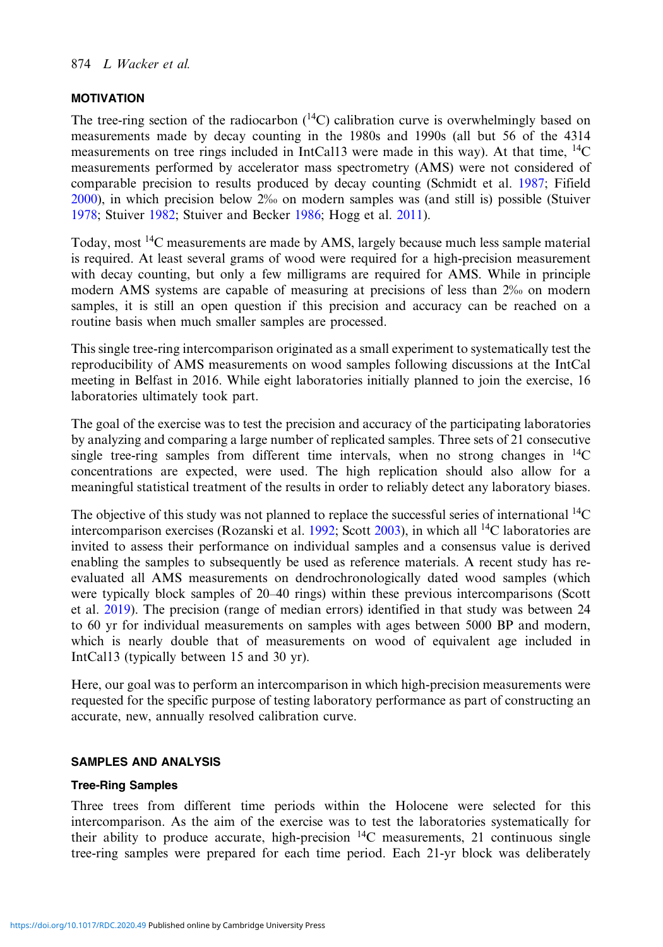# <sup>874</sup> L Wacker et al.

# MOTIVATION

The tree-ring section of the radiocarbon  $(14)$ C) calibration curve is overwhelmingly based on measurements made by decay counting in the 1980s and 1990s (all but 56 of the 4314 measurements on tree rings included in IntCal13 were made in this way). At that time,  $^{14}C$ measurements performed by accelerator mass spectrometry (AMS) were not considered of comparable precision to results produced by decay counting (Schmidt et al. [1987;](#page-9-0) Fifield [2000](#page-9-0)), in which precision below 2‰ on modern samples was (and still is) possible (Stuiver [1978](#page-9-0); Stuiver [1982](#page-9-0); Stuiver and Becker [1986;](#page-9-0) Hogg et al. [2011\)](#page-9-0).

Today, most 14C measurements are made by AMS, largely because much less sample material is required. At least several grams of wood were required for a high-precision measurement with decay counting, but only a few milligrams are required for AMS. While in principle modern AMS systems are capable of measuring at precisions of less than 2‰ on modern samples, it is still an open question if this precision and accuracy can be reached on a routine basis when much smaller samples are processed.

This single tree-ring intercomparison originated as a small experiment to systematically test the reproducibility of AMS measurements on wood samples following discussions at the IntCal meeting in Belfast in 2016. While eight laboratories initially planned to join the exercise, 16 laboratories ultimately took part.

The goal of the exercise was to test the precision and accuracy of the participating laboratories by analyzing and comparing a large number of replicated samples. Three sets of 21 consecutive single tree-ring samples from different time intervals, when no strong changes in  ${}^{14}C$ concentrations are expected, were used. The high replication should also allow for a meaningful statistical treatment of the results in order to reliably detect any laboratory biases.

The objective of this study was not planned to replace the successful series of international  ${}^{14}C$ intercomparison exercises (Rozanski et al. [1992;](#page-9-0) Scott  $2003$ ), in which all <sup>14</sup>C laboratories are invited to assess their performance on individual samples and a consensus value is derived enabling the samples to subsequently be used as reference materials. A recent study has reevaluated all AMS measurements on dendrochronologically dated wood samples (which were typically block samples of 20–40 rings) within these previous intercomparisons (Scott et al. [2019](#page-9-0)). The precision (range of median errors) identified in that study was between 24 to 60 yr for individual measurements on samples with ages between 5000 BP and modern, which is nearly double that of measurements on wood of equivalent age included in IntCal13 (typically between 15 and 30 yr).

Here, our goal was to perform an intercomparison in which high-precision measurements were requested for the specific purpose of testing laboratory performance as part of constructing an accurate, new, annually resolved calibration curve.

## SAMPLES AND ANALYSIS

## Tree-Ring Samples

Three trees from different time periods within the Holocene were selected for this intercomparison. As the aim of the exercise was to test the laboratories systematically for their ability to produce accurate, high-precision  ${}^{14}C$  measurements, 21 continuous single tree-ring samples were prepared for each time period. Each 21-yr block was deliberately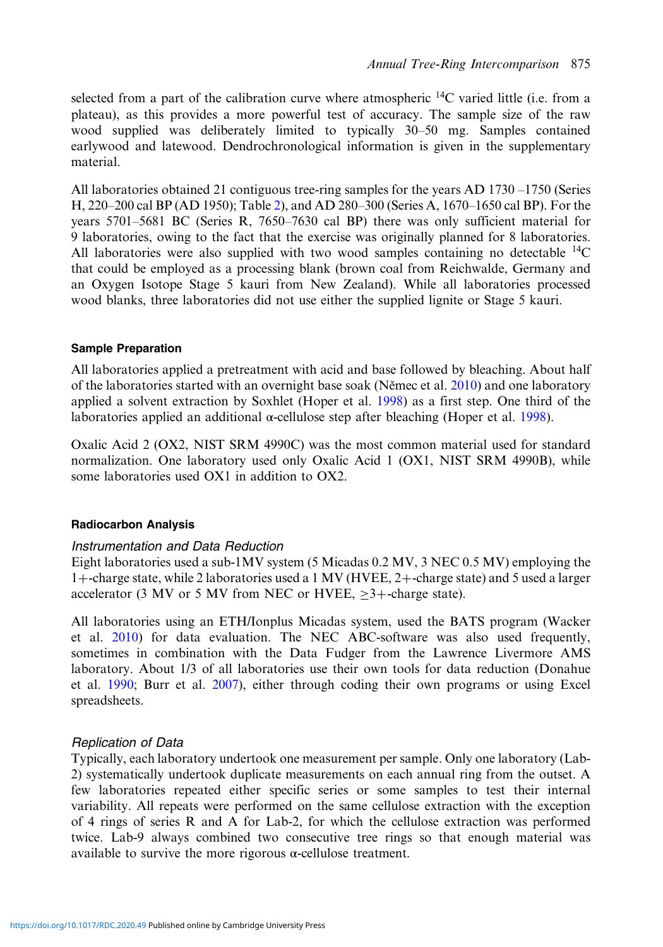selected from a part of the calibration curve where atmospheric  $^{14}C$  varied little (i.e. from a plateau), as this provides a more powerful test of accuracy. The sample size of the raw wood supplied was deliberately limited to typically 30–50 mg. Samples contained earlywood and latewood. Dendrochronological information is given in the supplementary material.

All laboratories obtained 21 contiguous tree-ring samples for the years AD 1730 –1750 (Series H, 220–200 cal BP (AD 1950); Table [2](#page-7-0)), and AD 280–300 (Series A, 1670–1650 cal BP). For the years 5701–5681 BC (Series R, 7650–7630 cal BP) there was only sufficient material for 9 laboratories, owing to the fact that the exercise was originally planned for 8 laboratories. All laboratories were also supplied with two wood samples containing no detectable  ${}^{14}C$ that could be employed as a processing blank (brown coal from Reichwalde, Germany and an Oxygen Isotope Stage 5 kauri from New Zealand). While all laboratories processed wood blanks, three laboratories did not use either the supplied lignite or Stage 5 kauri.

## Sample Preparation

All laboratories applied a pretreatment with acid and base followed by bleaching. About half of the laboratories started with an overnight base soak (Němec et al. [2010\)](#page-9-0) and one laboratory applied a solvent extraction by Soxhlet (Hoper et al. [1998](#page-9-0)) as a first step. One third of the laboratories applied an additional α-cellulose step after bleaching (Hoper et al. [1998](#page-9-0)).

Oxalic Acid 2 (OX2, NIST SRM 4990C) was the most common material used for standard normalization. One laboratory used only Oxalic Acid 1 (OX1, NIST SRM 4990B), while some laboratories used OX1 in addition to OX2.

## Radiocarbon Analysis

### Instrumentation and Data Reduction

Eight laboratories used a sub-1MV system (5 Micadas 0.2 MV, 3 NEC 0.5 MV) employing the 1-charge state, while 2 laboratories used a 1 MV (HVEE, 2-charge state) and 5 used a larger accelerator (3 MV or 5 MV from NEC or HVEE,  $\geq 3+$ -charge state).

All laboratories using an ETH/Ionplus Micadas system, used the BATS program (Wacker et al. [2010](#page-9-0)) for data evaluation. The NEC ABC-software was also used frequently, sometimes in combination with the Data Fudger from the Lawrence Livermore AMS laboratory. About 1/3 of all laboratories use their own tools for data reduction (Donahue et al. [1990;](#page-9-0) Burr et al. [2007](#page-9-0)), either through coding their own programs or using Excel spreadsheets.

### Replication of Data

Typically, each laboratory undertook one measurement per sample. Only one laboratory (Lab-2) systematically undertook duplicate measurements on each annual ring from the outset. A few laboratories repeated either specific series or some samples to test their internal variability. All repeats were performed on the same cellulose extraction with the exception of 4 rings of series R and A for Lab-2, for which the cellulose extraction was performed twice. Lab-9 always combined two consecutive tree rings so that enough material was available to survive the more rigorous α-cellulose treatment.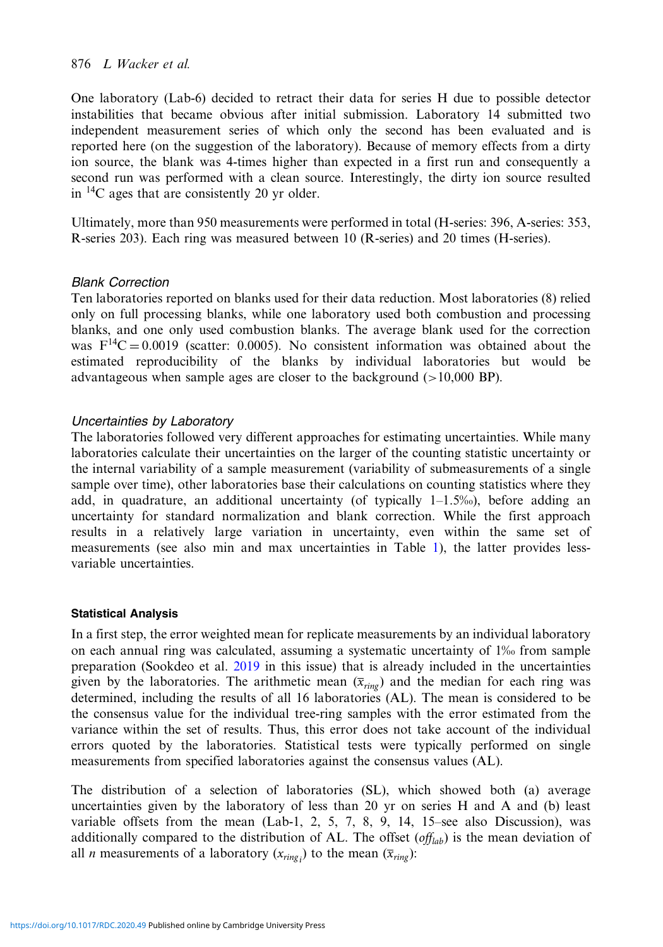# 876 L Wacker et al.

One laboratory (Lab-6) decided to retract their data for series H due to possible detector instabilities that became obvious after initial submission. Laboratory 14 submitted two independent measurement series of which only the second has been evaluated and is reported here (on the suggestion of the laboratory). Because of memory effects from a dirty ion source, the blank was 4-times higher than expected in a first run and consequently a second run was performed with a clean source. Interestingly, the dirty ion source resulted in  $^{14}$ C ages that are consistently 20 yr older.

Ultimately, more than 950 measurements were performed in total (H-series: 396, A-series: 353, R-series 203). Each ring was measured between 10 (R-series) and 20 times (H-series).

# Blank Correction

Ten laboratories reported on blanks used for their data reduction. Most laboratories (8) relied only on full processing blanks, while one laboratory used both combustion and processing blanks, and one only used combustion blanks. The average blank used for the correction was  $F<sup>14</sup>C = 0.0019$  (scatter: 0.0005). No consistent information was obtained about the estimated reproducibility of the blanks by individual laboratories but would be advantageous when sample ages are closer to the background  $(>10,000$  BP).

# Uncertainties by Laboratory

The laboratories followed very different approaches for estimating uncertainties. While many laboratories calculate their uncertainties on the larger of the counting statistic uncertainty or the internal variability of a sample measurement (variability of submeasurements of a single sample over time), other laboratories base their calculations on counting statistics where they add, in quadrature, an additional uncertainty (of typically  $1-1.5\%$ ), before adding an uncertainty for standard normalization and blank correction. While the first approach results in a relatively large variation in uncertainty, even within the same set of measurements (see also min and max uncertainties in Table [1\)](#page-4-0), the latter provides lessvariable uncertainties.

## Statistical Analysis

In a first step, the error weighted mean for replicate measurements by an individual laboratory on each annual ring was calculated, assuming a systematic uncertainty of 1‰ from sample preparation (Sookdeo et al. [2019](#page-9-0) in this issue) that is already included in the uncertainties given by the laboratories. The arithmetic mean  $(\bar{x}_{\text{ring}})$  and the median for each ring was determined, including the results of all 16 laboratories (AL). The mean is considered to be the consensus value for the individual tree-ring samples with the error estimated from the variance within the set of results. Thus, this error does not take account of the individual errors quoted by the laboratories. Statistical tests were typically performed on single measurements from specified laboratories against the consensus values (AL).

The distribution of a selection of laboratories (SL), which showed both (a) average uncertainties given by the laboratory of less than 20 yr on series H and A and (b) least variable offsets from the mean (Lab-1, 2, 5, 7, 8, 9, 14, 15–see also Discussion), was additionally compared to the distribution of AL. The offset  $(\text{off}_{lab})$  is the mean deviation of all *n* measurements of a laboratory  $(x_{ring})$  to the mean  $(\overline{x}_{ring})$ :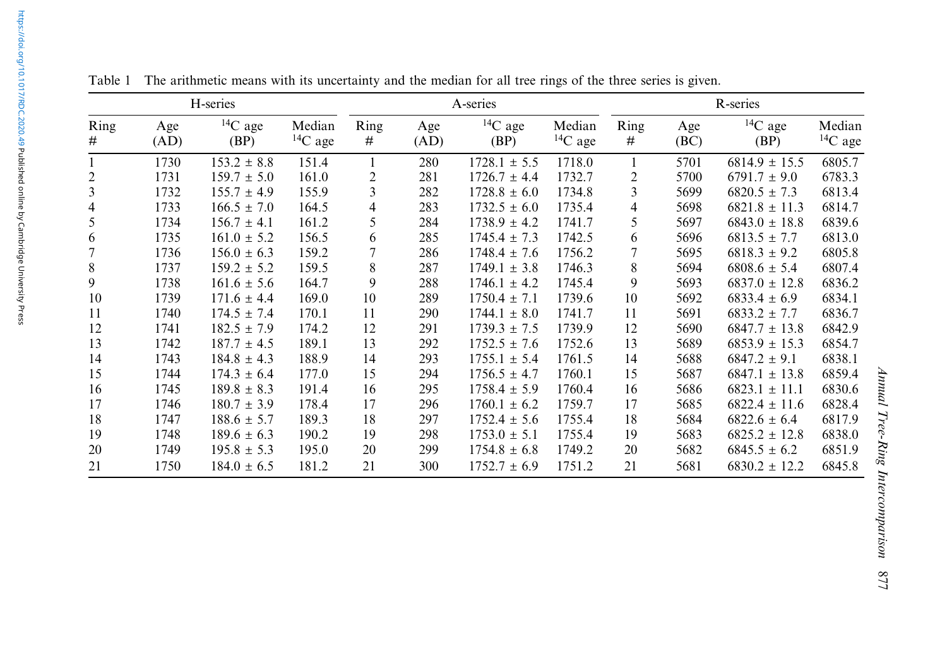|                  |             | H-series               |                          |                          |     | A-series               |                          | R-series       |             |                        |                          |  |  |
|------------------|-------------|------------------------|--------------------------|--------------------------|-----|------------------------|--------------------------|----------------|-------------|------------------------|--------------------------|--|--|
| Ring<br>#        | Age<br>(AD) | ${}^{14}C$ age<br>(BP) | Median<br>${}^{14}C$ age | Ring<br>Age<br>#<br>(AD) |     | ${}^{14}C$ age<br>(BP) | Median<br>${}^{14}C$ age | Ring<br>#      | Age<br>(BC) | ${}^{14}C$ age<br>(BP) | Median<br>${}^{14}C$ age |  |  |
|                  | 1730        | $153.2 \pm 8.8$        | 151.4                    |                          | 280 | $1728.1 \pm 5.5$       | 1718.0                   | 1              | 5701        | $6814.9 \pm 15.5$      | 6805.7                   |  |  |
| $\overline{c}$   | 1731        | $159.7 \pm 5.0$        | 161.0                    | $\overline{2}$           | 281 | $1726.7 \pm 4.4$       | 1732.7                   | $\overline{2}$ | 5700        | $6791.7 \pm 9.0$       | 6783.3                   |  |  |
| 3                | 1732        | $155.7 \pm 4.9$        | 155.9                    | 3                        | 282 | $1728.8 \pm 6.0$       | 1734.8                   | 3              | 5699        | $6820.5 \pm 7.3$       | 6813.4                   |  |  |
| 4                | 1733        | $166.5 \pm 7.0$        | 164.5                    | 4                        | 283 | $1732.5 \pm 6.0$       | 1735.4                   | 4              | 5698        | $6821.8 \pm 11.3$      | 6814.7                   |  |  |
| 5                | 1734        | $156.7 \pm 4.1$        | 161.2                    | 5                        | 284 | $1738.9 \pm 4.2$       | 1741.7                   | 5              | 5697        | $6843.0 \pm 18.8$      | 6839.6                   |  |  |
| 6                | 1735        | $161.0 \pm 5.2$        | 156.5                    | 6                        | 285 | $1745.4 \pm 7.3$       | 1742.5                   | 6              | 5696        | $6813.5 \pm 7.7$       | 6813.0                   |  |  |
| $\boldsymbol{7}$ | 1736        | $156.0 \pm 6.3$        | 159.2                    |                          | 286 | $1748.4 \pm 7.6$       | 1756.2                   | 7              | 5695        | $6818.3 \pm 9.2$       | 6805.8                   |  |  |
| $8\,$            | 1737        | $159.2 \pm 5.2$        | 159.5                    | 8                        | 287 | $1749.1 \pm 3.8$       | 1746.3                   | 8              | 5694        | $6808.6 \pm 5.4$       | 6807.4                   |  |  |
| 9                | 1738        | $161.6 \pm 5.6$        | 164.7                    | 9                        | 288 | $1746.1 \pm 4.2$       | 1745.4                   | 9              | 5693        | $6837.0 \pm 12.8$      | 6836.2                   |  |  |
| 10               | 1739        | $171.6 \pm 4.4$        | 169.0                    | 10                       | 289 | $1750.4 \pm 7.1$       | 1739.6                   | 10             | 5692        | $6833.4 \pm 6.9$       | 6834.1                   |  |  |
| 11               | 1740        | $174.5 \pm 7.4$        | 170.1                    | 11                       | 290 | $1744.1 \pm 8.0$       | 1741.7                   | 11             | 5691        | $6833.2 \pm 7.7$       | 6836.7                   |  |  |
| 12               | 1741        | $182.5 \pm 7.9$        | 174.2                    | 12                       | 291 | $1739.3 \pm 7.5$       | 1739.9                   | 12             | 5690        | $6847.7 \pm 13.8$      | 6842.9                   |  |  |
| 13               | 1742        | $187.7 \pm 4.5$        | 189.1                    | 13                       | 292 | $1752.5 \pm 7.6$       | 1752.6                   | 13             | 5689        | $6853.9 \pm 15.3$      | 6854.7                   |  |  |
| 14               | 1743        | $184.8 \pm 4.3$        | 188.9                    | 14                       | 293 | $1755.1 \pm 5.4$       | 1761.5                   | 14             | 5688        | $6847.2 \pm 9.1$       | 6838.1                   |  |  |
| 15               | 1744        | $174.3 \pm 6.4$        | 177.0                    | 15                       | 294 | $1756.5 \pm 4.7$       | 1760.1                   | 15             | 5687        | $6847.1 \pm 13.8$      | 6859.4                   |  |  |
| 16               | 1745        | $189.8 \pm 8.3$        | 191.4                    | 16                       | 295 | $1758.4 \pm 5.9$       | 1760.4                   | 16             | 5686        | $6823.1 \pm 11.1$      | 6830.6                   |  |  |
| 17               | 1746        | $180.7 \pm 3.9$        | 178.4                    | 17                       | 296 | $1760.1 \pm 6.2$       | 1759.7                   | 17             | 5685        | $6822.4 \pm 11.6$      | 6828.4                   |  |  |
| 18               | 1747        | $188.6 \pm 5.7$        | 189.3                    | 18                       | 297 | $1752.4 \pm 5.6$       | 1755.4                   | 18             | 5684        | $6822.6 \pm 6.4$       | 6817.9                   |  |  |
| 19               | 1748        | $189.6 \pm 6.3$        | 190.2                    | 19                       | 298 | $1753.0 \pm 5.1$       | 1755.4                   | 19             | 5683        | $6825.2 \pm 12.8$      | 6838.0                   |  |  |
| 20               | 1749        | $195.8 \pm 5.3$        | 195.0                    | 20                       | 299 | $1754.8 \pm 6.8$       | 1749.2                   | 20             | 5682        | $6845.5 \pm 6.2$       | 6851.9                   |  |  |
| 21               | 1750        | $184.0 \pm 6.5$        | 181.2                    | 21                       | 300 | $1752.7 \pm 6.9$       | 1751.2                   | 21             | 5681        | $6830.2 \pm 12.2$      | 6845.8                   |  |  |

<span id="page-4-0"></span>Table 1 The arithmetic means with its uncertainty and the median for all tree rings of the three series is given.

877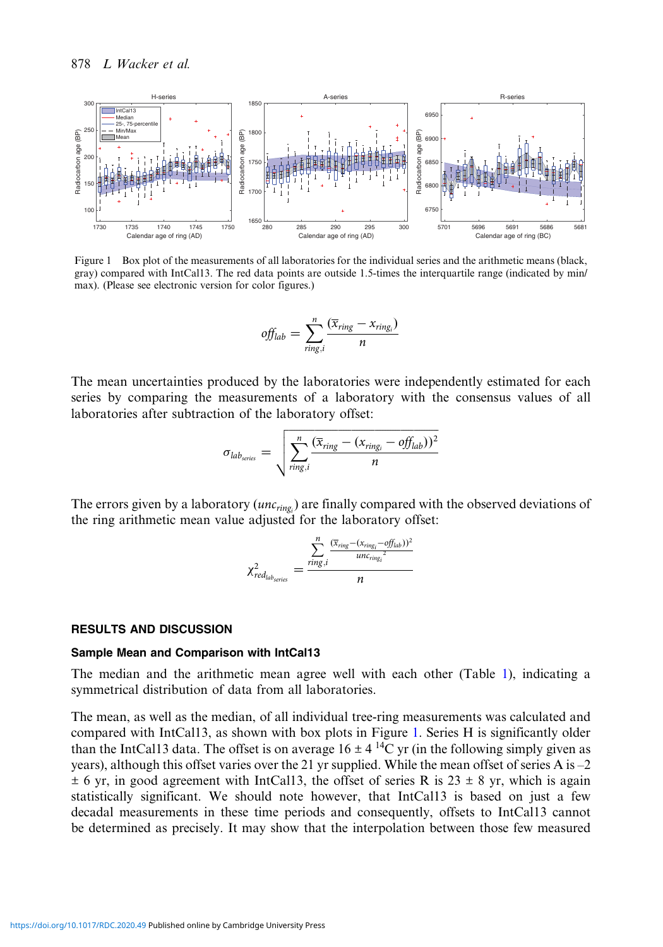

Figure 1 Box plot of the measurements of all laboratories for the individual series and the arithmetic means (black, gray) compared with IntCal13. The red data points are outside 1.5-times the interquartile range (indicated by min/ max). (Please see electronic version for color figures.)

$$
off_{lab} = \sum_{ring,i}^{n} \frac{(\overline{x}_{ring} - x_{ring})}{n}
$$

The mean uncertainties produced by the laboratories were independently estimated for each series by comparing the measurements of a laboratory with the consensus values of all laboratories after subtraction of the laboratory offset:

$$
\sigma_{\text{lab}_{\text{series}}} = \sqrt{\sum_{\text{ring},i}^{n} \frac{(\overline{x}_{\text{ring}} - (x_{\text{ring},i} - \text{off}_{\text{lab}}))^2}{n}}
$$

The errors given by a laboratory ( $unc_{ring_i}$ ) are finally compared with the observed deviations of the ring arithmetic mean value adjusted for the laboratory offset:

$$
\chi^2_{recl_{lab_{series}}} = \frac{\sum_{ring,i}^{n} \frac{(\overline{x}_{ring} - (x_{ring_i} - off_{lab}))^2}{\mu n c_{ring_i}^2}}{n}
$$

### RESULTS AND DISCUSSION

### Sample Mean and Comparison with IntCal13

The median and the arithmetic mean agree well with each other (Table [1](#page-4-0)), indicating a symmetrical distribution of data from all laboratories.

The mean, as well as the median, of all individual tree-ring measurements was calculated and compared with IntCal13, as shown with box plots in Figure 1. Series H is significantly older than the IntCal13 data. The offset is on average  $16 \pm 4^{14}$ C yr (in the following simply given as years), although this offset varies over the 21 yr supplied. While the mean offset of series A is –2  $\pm$  6 yr, in good agreement with IntCal13, the offset of series R is 23  $\pm$  8 yr, which is again statistically significant. We should note however, that IntCal13 is based on just a few decadal measurements in these time periods and consequently, offsets to IntCal13 cannot be determined as precisely. It may show that the interpolation between those few measured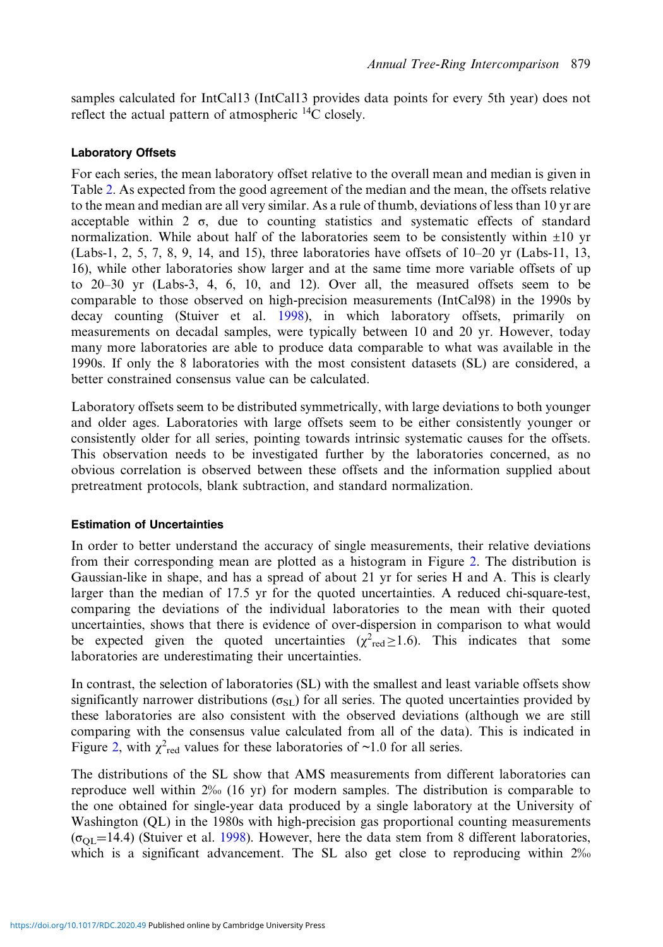samples calculated for IntCal13 (IntCal13 provides data points for every 5th year) does not reflect the actual pattern of atmospheric  $^{14}$ C closely.

## Laboratory Offsets

For each series, the mean laboratory offset relative to the overall mean and median is given in Table [2.](#page-7-0) As expected from the good agreement of the median and the mean, the offsets relative to the mean and median are all very similar. As a rule of thumb, deviations of less than 10 yr are acceptable within 2  $\sigma$ , due to counting statistics and systematic effects of standard normalization. While about half of the laboratories seem to be consistently within ±10 yr (Labs-1, 2, 5, 7, 8, 9, 14, and 15), three laboratories have offsets of 10–20 yr (Labs-11, 13, 16), while other laboratories show larger and at the same time more variable offsets of up to 20–30 yr (Labs-3, 4, 6, 10, and 12). Over all, the measured offsets seem to be comparable to those observed on high-precision measurements (IntCal98) in the 1990s by decay counting (Stuiver et al. [1998](#page-9-0)), in which laboratory offsets, primarily on measurements on decadal samples, were typically between 10 and 20 yr. However, today many more laboratories are able to produce data comparable to what was available in the 1990s. If only the 8 laboratories with the most consistent datasets (SL) are considered, a better constrained consensus value can be calculated.

Laboratory offsets seem to be distributed symmetrically, with large deviations to both younger and older ages. Laboratories with large offsets seem to be either consistently younger or consistently older for all series, pointing towards intrinsic systematic causes for the offsets. This observation needs to be investigated further by the laboratories concerned, as no obvious correlation is observed between these offsets and the information supplied about pretreatment protocols, blank subtraction, and standard normalization.

# Estimation of Uncertainties

In order to better understand the accuracy of single measurements, their relative deviations from their corresponding mean are plotted as a histogram in Figure [2](#page-8-0). The distribution is Gaussian-like in shape, and has a spread of about 21 yr for series H and A. This is clearly larger than the median of 17.5 yr for the quoted uncertainties. A reduced chi-square-test, comparing the deviations of the individual laboratories to the mean with their quoted uncertainties, shows that there is evidence of over-dispersion in comparison to what would be expected given the quoted uncertainties  $(\chi^2_{\text{red}} \ge 1.6)$ . This indicates that some laboratories are underestimating their uncertainties.

In contrast, the selection of laboratories (SL) with the smallest and least variable offsets show significantly narrower distributions ( $\sigma_{SL}$ ) for all series. The quoted uncertainties provided by these laboratories are also consistent with the observed deviations (although we are still comparing with the consensus value calculated from all of the data). This is indicated in Figure [2](#page-8-0), with  $\chi^2_{\text{red}}$  values for these laboratories of ~1.0 for all series.

The distributions of the SL show that AMS measurements from different laboratories can reproduce well within 2‰ (16 yr) for modern samples. The distribution is comparable to the one obtained for single-year data produced by a single laboratory at the University of Washington (QL) in the 1980s with high-precision gas proportional counting measurements  $(\sigma_{\text{OL}}=14.4)$  (Stuiver et al. [1998](#page-9-0)). However, here the data stem from 8 different laboratories, which is a significant advancement. The SL also get close to reproducing within 2‰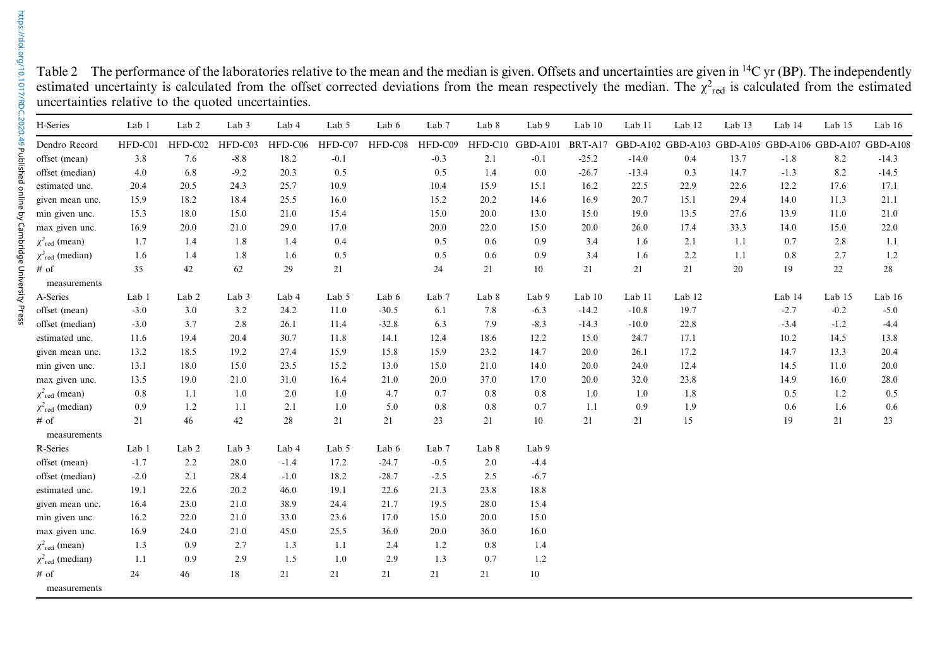<span id="page-7-0"></span>Table 2 The performance of the laboratories relative to the mean and the median is given. Offsets and uncertainties are given in <sup>14</sup>C yr (BP). The independently estimated uncertainty is calculated from the offset corrected deviations from the mean respectively the median. The  $\chi^2_{\text{red}}$  is calculated from the estimated uncertainties relative to the quoted uncertainties.

| H-Series                         | Lab 1   | Lab 2            | Lab 3            | Lab 4   | Lab 5   | Lab 6   | Lab <sub>7</sub> | Lab 8 | Lab 9            | Lab 10  | Lab 11  | Lab 12 | Lab 13                                                | Lab 14 | Lab 15 | Lab 16  |
|----------------------------------|---------|------------------|------------------|---------|---------|---------|------------------|-------|------------------|---------|---------|--------|-------------------------------------------------------|--------|--------|---------|
| Dendro Record                    | HFD-C01 | HFD-C02          | HFD-C03          | HFD-C06 | HFD-C07 | HFD-C08 | HFD-C09          |       | HFD-C10 GBD-A101 | BRT-A17 |         |        | GBD-A102 GBD-A103 GBD-A105 GBD-A106 GBD-A107 GBD-A108 |        |        |         |
| offset (mean)                    | 3.8     | 7.6              | $-8.8$           | 18.2    | $-0.1$  |         | $-0.3$           | 2.1   | $-0.1$           | $-25.2$ | $-14.0$ | 0.4    | 13.7                                                  | $-1.8$ | 8.2    | $-14.3$ |
| offset (median)                  | 4.0     | 6.8              | $-9.2$           | 20.3    | 0.5     |         | 0.5              | 1.4   | 0.0              | $-26.7$ | $-13.4$ | 0.3    | 14.7                                                  | $-1.3$ | 8.2    | $-14.5$ |
| estimated unc.                   | 20.4    | 20.5             | 24.3             | 25.7    | 10.9    |         | 10.4             | 15.9  | 15.1             | 16.2    | 22.5    | 22.9   | 22.6                                                  | 12.2   | 17.6   | 17.1    |
| given mean unc.                  | 15.9    | 18.2             | 18.4             | 25.5    | 16.0    |         | 15.2             | 20.2  | 14.6             | 16.9    | 20.7    | 15.1   | 29.4                                                  | 14.0   | 11.3   | 21.1    |
| min given unc.                   | 15.3    | 18.0             | 15.0             | 21.0    | 15.4    |         | 15.0             | 20.0  | 13.0             | 15.0    | 19.0    | 13.5   | 27.6                                                  | 13.9   | 11.0   | 21.0    |
| max given unc.                   | 16.9    | 20.0             | 21.0             | 29.0    | 17.0    |         | 20.0             | 22.0  | 15.0             | 20.0    | 26.0    | 17.4   | 33.3                                                  | 14.0   | 15.0   | 22.0    |
| $\chi^2_{\text{red}}$ (mean)     | 1.7     | 1.4              | 1.8              | 1.4     | 0.4     |         | 0.5              | 0.6   | 0.9              | 3.4     | 1.6     | 2.1    | 1.1                                                   | 0.7    | 2.8    | 1.1     |
| $\chi^2_{\text{red}}$ (median)   | 1.6     | 1.4              | 1.8              | 1.6     | 0.5     |         | 0.5              | 0.6   | 0.9              | 3.4     | 1.6     | 2.2    | 1.1                                                   | 0.8    | 2.7    | 1.2     |
| $#$ of<br>measurements           | 35      | 42               | 62               | 29      | 21      |         | 24               | 21    | 10               | 21      | 21      | 21     | 20                                                    | 19     | 22     | 28      |
| A-Series                         | Lab 1   | Lab 2            | Lab <sub>3</sub> | Lab 4   | Lab 5   | Lab 6   | Lab <sub>7</sub> | Lab 8 | Lab 9            | Lab 10  | Lab 11  | Lab 12 |                                                       | Lab 14 | Lab 15 | Lab 16  |
| offset (mean)                    | $-3.0$  | 3.0              | 3.2              | 24.2    | 11.0    | $-30.5$ | 6.1              | 7.8   | $-6.3$           | $-14.2$ | $-10.8$ | 19.7   |                                                       | $-2.7$ | $-0.2$ | $-5.0$  |
| offset (median)                  | $-3.0$  | 3.7              | 2.8              | 26.1    | 11.4    | $-32.8$ | 6.3              | 7.9   | $-8.3$           | $-14.3$ | $-10.0$ | 22.8   |                                                       | $-3.4$ | $-1.2$ | $-4.4$  |
| estimated unc.                   | 11.6    | 19.4             | 20.4             | 30.7    | 11.8    | 14.1    | 12.4             | 18.6  | 12.2             | 15.0    | 24.7    | 17.1   |                                                       | 10.2   | 14.5   | 13.8    |
| given mean unc.                  | 13.2    | 18.5             | 19.2             | 27.4    | 15.9    | 15.8    | 15.9             | 23.2  | 14.7             | 20.0    | 26.1    | 17.2   |                                                       | 14.7   | 13.3   | 20.4    |
| min given unc.                   | 13.1    | 18.0             | 15.0             | 23.5    | 15.2    | 13.0    | 15.0             | 21.0  | 14.0             | 20.0    | 24.0    | 12.4   |                                                       | 14.5   | 11.0   | 20.0    |
| max given unc.                   | 13.5    | 19.0             | 21.0             | 31.0    | 16.4    | 21.0    | 20.0             | 37.0  | 17.0             | 20.0    | 32.0    | 23.8   |                                                       | 14.9   | 16.0   | 28.0    |
| $\chi^2_{\text{red}}$ (mean)     | 0.8     | 1.1              | 1.0              | 2.0     | 1.0     | 4.7     | 0.7              | 0.8   | 0.8              | 1.0     | 1.0     | 1.8    |                                                       | 0.5    | 1.2    | 0.5     |
| $\chi^2_{\text{red}}$ (median)   | 0.9     | 1.2              | 1.1              | 2.1     | 1.0     | 5.0     | 0.8              | 0.8   | 0.7              | 1.1     | 0.9     | 1.9    |                                                       | 0.6    | 1.6    | 0.6     |
| $#$ of                           | 21      | 46               | 42               | 28      | 21      | 21      | 23               | 21    | 10               | 21      | 21      | 15     |                                                       | 19     | 21     | 23      |
| measurements                     |         |                  |                  |         |         |         |                  |       |                  |         |         |        |                                                       |        |        |         |
| R-Series                         | Lab 1   | Lab <sub>2</sub> | Lab <sub>3</sub> | Lab 4   | Lab 5   | Lab 6   | Lab <sub>7</sub> | Lab 8 | Lab 9            |         |         |        |                                                       |        |        |         |
| offset (mean)                    | $-1.7$  | 2.2              | 28.0             | $-1.4$  | 17.2    | $-24.7$ | $-0.5$           | 2.0   | $-4.4$           |         |         |        |                                                       |        |        |         |
| offset (median)                  | $-2.0$  | 2.1              | 28.4             | $-1.0$  | 18.2    | $-28.7$ | $-2.5$           | 2.5   | $-6.7$           |         |         |        |                                                       |        |        |         |
| estimated unc.                   | 19.1    | 22.6             | 20.2             | 46.0    | 19.1    | 22.6    | 21.3             | 23.8  | 18.8             |         |         |        |                                                       |        |        |         |
| given mean unc.                  | 16.4    | 23.0             | 21.0             | 38.9    | 24.4    | 21.7    | 19.5             | 28.0  | 15.4             |         |         |        |                                                       |        |        |         |
| min given unc.                   | 16.2    | 22.0             | 21.0             | 33.0    | 23.6    | 17.0    | 15.0             | 20.0  | 15.0             |         |         |        |                                                       |        |        |         |
| max given unc.                   | 16.9    | 24.0             | 21.0             | 45.0    | 25.5    | 36.0    | 20.0             | 36.0  | 16.0             |         |         |        |                                                       |        |        |         |
| $\chi^2$ <sub>red</sub> (mean)   | 1.3     | 0.9              | 2.7              | 1.3     | 1.1     | 2.4     | 1.2              | 0.8   | 1.4              |         |         |        |                                                       |        |        |         |
| $\chi^2$ <sub>red</sub> (median) | 1.1     | 0.9              | 2.9              | 1.5     | 1.0     | 2.9     | 1.3              | 0.7   | 1.2              |         |         |        |                                                       |        |        |         |
| $#$ of                           | 24      | 46               | 18               | 21      | 21      | 21      | 21               | 21    | 10               |         |         |        |                                                       |        |        |         |
| measurements                     |         |                  |                  |         |         |         |                  |       |                  |         |         |        |                                                       |        |        |         |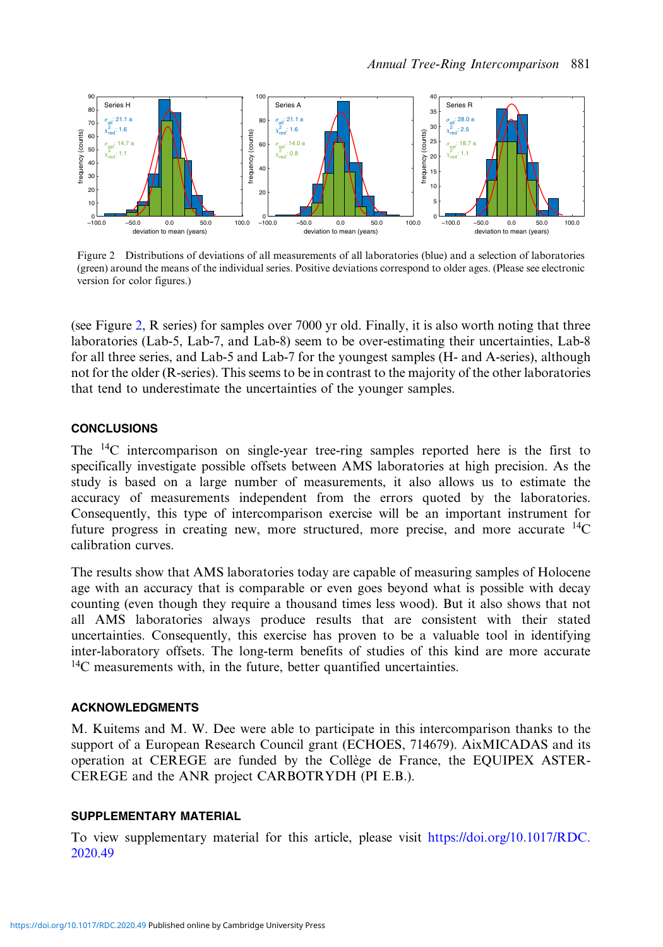<span id="page-8-0"></span>

Figure 2 Distributions of deviations of all measurements of all laboratories (blue) and a selection of laboratories (green) around the means of the individual series. Positive deviations correspond to older ages. (Please see electronic version for color figures.)

(see Figure 2, R series) for samples over 7000 yr old. Finally, it is also worth noting that three laboratories (Lab-5, Lab-7, and Lab-8) seem to be over-estimating their uncertainties, Lab-8 for all three series, and Lab-5 and Lab-7 for the youngest samples (H- and A-series), although not for the older (R-series). This seems to be in contrast to the majority of the other laboratories that tend to underestimate the uncertainties of the younger samples.

## **CONCLUSIONS**

The 14C intercomparison on single-year tree-ring samples reported here is the first to specifically investigate possible offsets between AMS laboratories at high precision. As the study is based on a large number of measurements, it also allows us to estimate the accuracy of measurements independent from the errors quoted by the laboratories. Consequently, this type of intercomparison exercise will be an important instrument for future progress in creating new, more structured, more precise, and more accurate  $^{14}$ C calibration curves.

The results show that AMS laboratories today are capable of measuring samples of Holocene age with an accuracy that is comparable or even goes beyond what is possible with decay counting (even though they require a thousand times less wood). But it also shows that not all AMS laboratories always produce results that are consistent with their stated uncertainties. Consequently, this exercise has proven to be a valuable tool in identifying inter-laboratory offsets. The long-term benefits of studies of this kind are more accurate  $14C$  measurements with, in the future, better quantified uncertainties.

### ACKNOWLEDGMENTS

M. Kuitems and M. W. Dee were able to participate in this intercomparison thanks to the support of a European Research Council grant (ECHOES, 714679). AixMICADAS and its operation at CEREGE are funded by the Collège de France, the EQUIPEX ASTER-CEREGE and the ANR project CARBOTRYDH (PI E.B.).

### SUPPLEMENTARY MATERIAL

To view supplementary material for this article, please visit [https://doi.org/10.1017/RDC.](https://doi.org/10.1017/RDC.2020.49) [2020.49](https://doi.org/10.1017/RDC.2020.49)